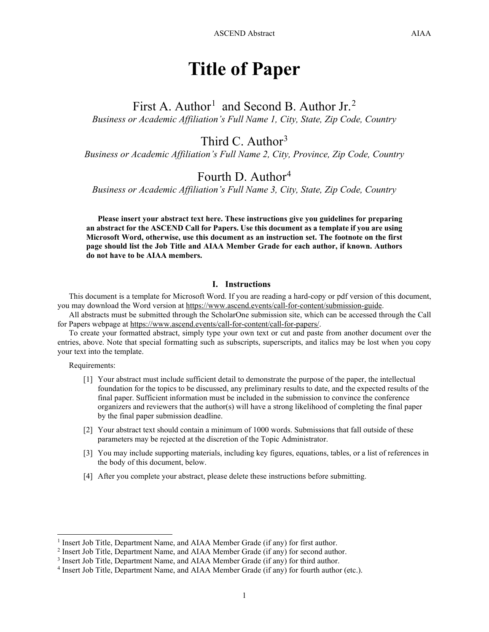# **Title of Paper**

First A. Author<sup>[1](#page-0-0)</sup> and Second B. Author Jr.<sup>[2](#page-0-1)</sup> *Business or Academic Affiliation's Full Name 1, City, State, Zip Code, Country*

### Third C. Author<sup>[3](#page-0-2)</sup>

*Business or Academic Affiliation's Full Name 2, City, Province, Zip Code, Country*

## Fourth D. Author<sup>[4](#page-0-3)</sup>

*Business or Academic Affiliation's Full Name 3, City, State, Zip Code, Country*

**Please insert your abstract text here. These instructions give you guidelines for preparing an abstract for the ASCEND Call for Papers. Use this document as a template if you are using Microsoft Word, otherwise, use this document as an instruction set. The footnote on the first page should list the Job Title and AIAA Member Grade for each author, if known. Authors do not have to be AIAA members.**

#### **I. Instructions**

This document is a template for Microsoft Word. If you are reading a hard-copy or pdf version of this document, you may download the Word version at [https://www.ascend.events/call-for-content/submission-guide.](https://www.ascend.events/call-for-content/submission-guide)

All abstracts must be submitted through the ScholarOne submission site, which can be accessed through the Call for Papers webpage at [https://www.ascend.events/call-for-content/call-for-papers/.](https://www.ascend.events/call-for-content/call-for-papers/)

To create your formatted abstract, simply type your own text or cut and paste from another document over the entries, above. Note that special formatting such as subscripts, superscripts, and italics may be lost when you copy your text into the template.

Requirements:

- [1] Your abstract must include sufficient detail to demonstrate the purpose of the paper, the intellectual foundation for the topics to be discussed, any preliminary results to date, and the expected results of the final paper. Sufficient information must be included in the submission to convince the conference organizers and reviewers that the author(s) will have a strong likelihood of completing the final paper by the final paper submission deadline.
- [2] Your abstract text should contain a minimum of 1000 words. Submissions that fall outside of these parameters may be rejected at the discretion of the Topic Administrator.
- [3] You may include supporting materials, including key figures, equations, tables, or a list of references in the body of this document, below.
- [4] After you complete your abstract, please delete these instructions before submitting.

<span id="page-0-0"></span><sup>&</sup>lt;sup>1</sup> Insert Job Title, Department Name, and AIAA Member Grade (if any) for first author.

<span id="page-0-1"></span><sup>2</sup> Insert Job Title, Department Name, and AIAA Member Grade (if any) for second author.

<span id="page-0-2"></span><sup>3</sup> Insert Job Title, Department Name, and AIAA Member Grade (if any) for third author.

<span id="page-0-3"></span><sup>4</sup> Insert Job Title, Department Name, and AIAA Member Grade (if any) for fourth author (etc.).